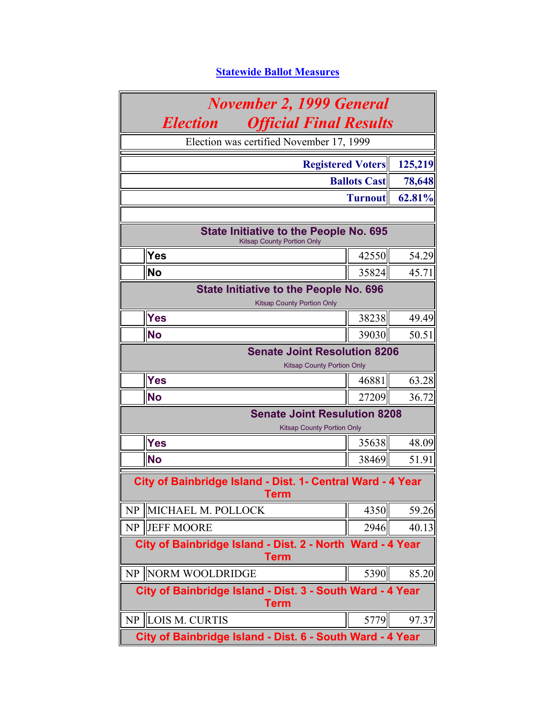## **Statewide Ballot Measures**

| <b>November 2, 1999 General</b>                                          |                                                                                    |                |         |  |  |  |
|--------------------------------------------------------------------------|------------------------------------------------------------------------------------|----------------|---------|--|--|--|
|                                                                          | <b>Election</b><br><b>Official Final Results</b>                                   |                |         |  |  |  |
|                                                                          | Election was certified November 17, 1999                                           |                |         |  |  |  |
|                                                                          | <b>Registered Voters</b>                                                           |                | 125,219 |  |  |  |
|                                                                          | <b>Ballots Cast</b><br>78,648                                                      |                |         |  |  |  |
|                                                                          |                                                                                    | <b>Turnout</b> | 62.81%  |  |  |  |
|                                                                          |                                                                                    |                |         |  |  |  |
|                                                                          | <b>State Initiative to the People No. 695</b><br><b>Kitsap County Portion Only</b> |                |         |  |  |  |
|                                                                          | <b>Yes</b>                                                                         | 42550          | 54.29   |  |  |  |
|                                                                          | <b>No</b>                                                                          | 35824          | 45.71   |  |  |  |
|                                                                          | <b>State Initiative to the People No. 696</b><br><b>Kitsap County Portion Only</b> |                |         |  |  |  |
|                                                                          | <b>Yes</b>                                                                         | 38238          | 49.49   |  |  |  |
|                                                                          | <b>No</b>                                                                          | 39030          | 50.51   |  |  |  |
| <b>Senate Joint Resolution 8206</b><br><b>Kitsap County Portion Only</b> |                                                                                    |                |         |  |  |  |
|                                                                          | <b>Yes</b>                                                                         | 46881          | 63.28   |  |  |  |
|                                                                          | <b>No</b>                                                                          | 27209          | 36.72   |  |  |  |
|                                                                          | <b>Senate Joint Resulution 8208</b><br><b>Kitsap County Portion Only</b>           |                |         |  |  |  |
|                                                                          | Yes                                                                                | 35638          | 48.09   |  |  |  |
|                                                                          | <b>No</b>                                                                          | 38469          | 51.91   |  |  |  |
|                                                                          | City of Bainbridge Island - Dist. 1- Central Ward - 4 Year<br><b>Term</b>          |                |         |  |  |  |
| <b>NP</b>                                                                | MICHAEL M. POLLOCK                                                                 | 4350           | 59.26   |  |  |  |
| NP                                                                       | <b>JEFF MOORE</b>                                                                  | 2946           | 40.13   |  |  |  |
| City of Bainbridge Island - Dist. 2 - North Ward - 4 Year<br>Term        |                                                                                    |                |         |  |  |  |
| NP                                                                       | NORM WOOLDRIDGE                                                                    | 5390           | 85.20   |  |  |  |
|                                                                          | City of Bainbridge Island - Dist. 3 - South Ward - 4 Year<br><b>Term</b>           |                |         |  |  |  |
| NP                                                                       | LOIS M. CURTIS                                                                     | 5779           | 97.37   |  |  |  |
|                                                                          | City of Bainbridge Island - Dist. 6 - South Ward - 4 Year                          |                |         |  |  |  |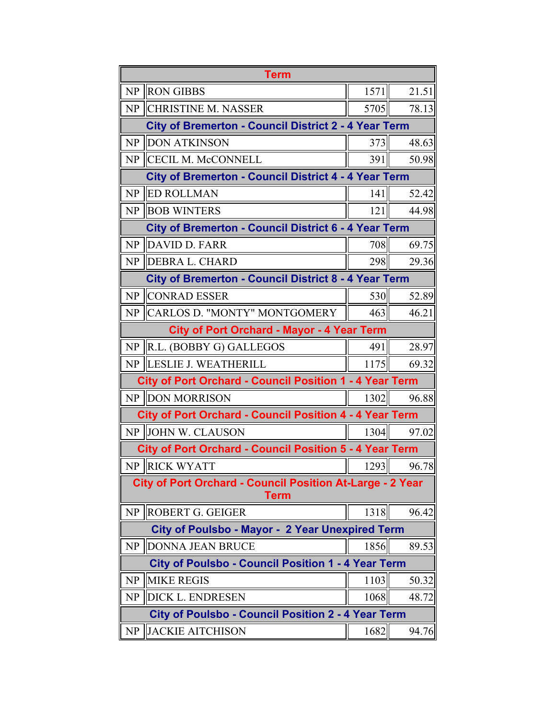|    | <b>Term</b>                                                                     |      |       |
|----|---------------------------------------------------------------------------------|------|-------|
| NP | <b>RON GIBBS</b>                                                                | 1571 | 21.51 |
| NP | <b>CHRISTINE M. NASSER</b>                                                      | 5705 | 78.13 |
|    | <b>City of Bremerton - Council District 2 - 4 Year Term</b>                     |      |       |
| NP | <b>DON ATKINSON</b>                                                             | 373  | 48.63 |
| NP | <b>CECIL M. McCONNELL</b>                                                       | 391  | 50.98 |
|    | <b>City of Bremerton - Council District 4 - 4 Year Term</b>                     |      |       |
| NP | <b>ED ROLLMAN</b>                                                               | 141  | 52.42 |
| NP | <b>BOB WINTERS</b>                                                              | 121  | 44.98 |
|    | <b>City of Bremerton - Council District 6 - 4 Year Term</b>                     |      |       |
| NP | DAVID D. FARR                                                                   | 708  | 69.75 |
| NP | <b>DEBRA L. CHARD</b>                                                           | 298  | 29.36 |
|    | <b>City of Bremerton - Council District 8 - 4 Year Term</b>                     |      |       |
| NP | <b>CONRAD ESSER</b>                                                             | 530  | 52.89 |
| NP | CARLOS D. "MONTY" MONTGOMERY                                                    | 463  | 46.21 |
|    | <b>City of Port Orchard - Mayor - 4 Year Term</b>                               |      |       |
| NP | R.L. (BOBBY G) GALLEGOS                                                         | 491  | 28.97 |
| NP | <b>LESLIE J. WEATHERILL</b>                                                     | 1175 | 69.32 |
|    | <b>City of Port Orchard - Council Position 1 - 4 Year Term</b>                  |      |       |
|    | NP DON MORRISON                                                                 | 1302 | 96.88 |
|    | <b>City of Port Orchard - Council Position 4 - 4 Year Term</b>                  |      |       |
|    | NP JOHN W. CLAUSON                                                              | 1304 | 97.02 |
|    | <b>City of Port Orchard - Council Position 5 - 4 Year Term</b>                  |      |       |
|    | NP RICK WYATT                                                                   | 1293 | 96.78 |
|    | <b>City of Port Orchard - Council Position At-Large - 2 Year</b><br><b>Term</b> |      |       |
| NP | <b>ROBERT G. GEIGER</b>                                                         | 1318 | 96.42 |
|    | <b>City of Poulsbo - Mayor - 2 Year Unexpired Term</b>                          |      |       |
| NP | <b>DONNA JEAN BRUCE</b>                                                         | 1856 | 89.53 |
|    | <b>City of Poulsbo - Council Position 1 - 4 Year Term</b>                       |      |       |
| NP | <b>MIKE REGIS</b>                                                               | 1103 | 50.32 |
| NP | DICK L. ENDRESEN                                                                | 1068 | 48.72 |
|    | <b>City of Poulsbo - Council Position 2 - 4 Year Term</b>                       |      |       |
| NP | <b>JACKIE AITCHISON</b>                                                         | 1682 | 94.76 |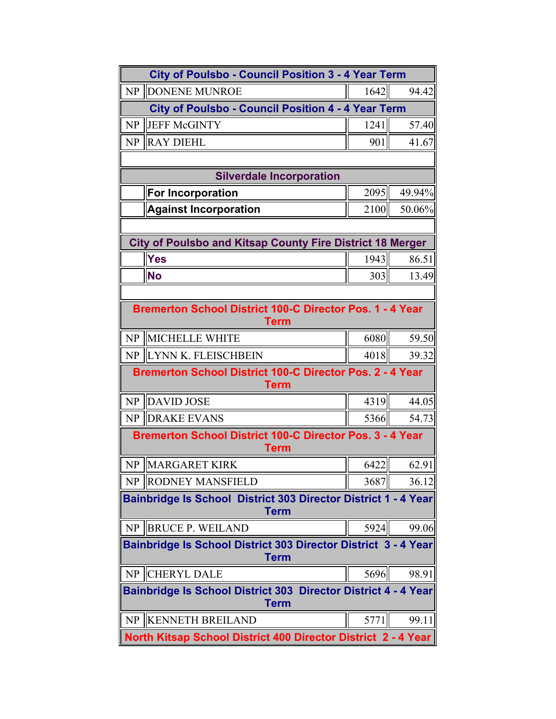| <b>City of Poulsbo - Council Position 3 - 4 Year Term</b>                      |                                                                               |      |        |  |  |
|--------------------------------------------------------------------------------|-------------------------------------------------------------------------------|------|--------|--|--|
| NP                                                                             | <b>DONENE MUNROE</b>                                                          | 1642 | 94.42  |  |  |
|                                                                                | <b>City of Poulsbo - Council Position 4 - 4 Year Term</b>                     |      |        |  |  |
| NP                                                                             | <b>JEFF McGINTY</b>                                                           | 1241 | 57.40  |  |  |
| NP                                                                             | <b>RAY DIEHL</b>                                                              | 901  | 41.67  |  |  |
|                                                                                |                                                                               |      |        |  |  |
|                                                                                | <b>Silverdale Incorporation</b>                                               |      |        |  |  |
|                                                                                | <b>For Incorporation</b>                                                      | 2095 | 49.94% |  |  |
|                                                                                | <b>Against Incorporation</b>                                                  | 2100 | 50.06% |  |  |
|                                                                                |                                                                               |      |        |  |  |
|                                                                                | <b>City of Poulsbo and Kitsap County Fire District 18 Merger</b>              |      |        |  |  |
|                                                                                | <b>Yes</b>                                                                    | 1943 | 86.51  |  |  |
|                                                                                | <b>No</b>                                                                     | 303  | 13.49  |  |  |
|                                                                                |                                                                               |      |        |  |  |
| Bremerton School District 100-C Director Pos. 1 - 4 Year<br>Term               |                                                                               |      |        |  |  |
| NP                                                                             | <b>MICHELLE WHITE</b>                                                         | 6080 | 59.50  |  |  |
| NP                                                                             | <b>LYNN K. FLEISCHBEIN</b>                                                    | 4018 | 39.32  |  |  |
| <b>Bremerton School District 100-C Director Pos. 2 - 4 Year</b><br><b>Term</b> |                                                                               |      |        |  |  |
| NP                                                                             | <b>DAVID JOSE</b>                                                             | 4319 | 44.05  |  |  |
| <b>NP</b>                                                                      | <b>DRAKE EVANS</b>                                                            | 5366 | 54.73  |  |  |
|                                                                                | Bremerton School District 100-C Director Pos. 3 - 4 Year<br>Term              |      |        |  |  |
|                                                                                | NP MARGARET KIRK                                                              | 6422 | 62.91  |  |  |
| NP                                                                             | <b>RODNEY MANSFIELD</b>                                                       | 3687 | 36.12  |  |  |
|                                                                                | Bainbridge Is School District 303 Director District 1 - 4 Year<br><b>Term</b> |      |        |  |  |
| NP                                                                             | <b>BRUCE P. WEILAND</b>                                                       | 5924 | 99.06  |  |  |
| Bainbridge Is School District 303 Director District 3 - 4 Year<br><b>Term</b>  |                                                                               |      |        |  |  |
| NP                                                                             | <b>CHERYL DALE</b>                                                            | 5696 | 98.91  |  |  |
| Bainbridge Is School District 303 Director District 4 - 4 Year<br><b>Term</b>  |                                                                               |      |        |  |  |
| <b>NP</b>                                                                      | <b>KENNETH BREILAND</b>                                                       | 5771 | 99.11  |  |  |
|                                                                                | North Kitsap School District 400 Director District 2 - 4 Year                 |      |        |  |  |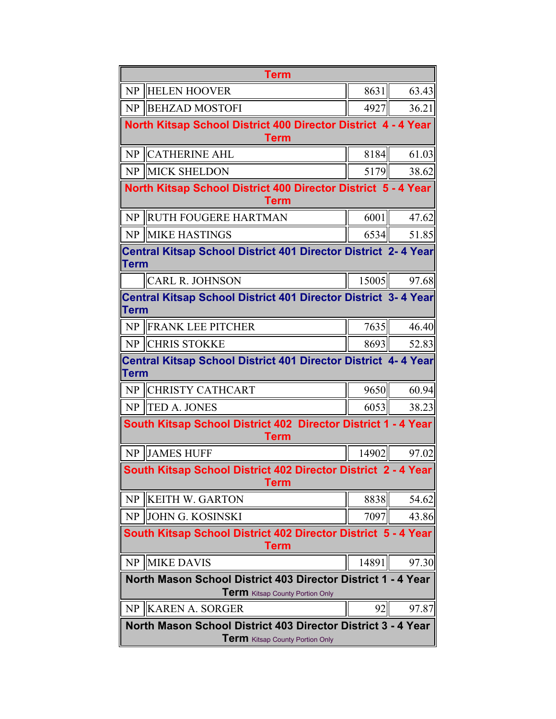|                                                                                                        | <b>Term</b>                                                                  |       |       |  |  |
|--------------------------------------------------------------------------------------------------------|------------------------------------------------------------------------------|-------|-------|--|--|
| NP                                                                                                     | <b>HELEN HOOVER</b>                                                          | 8631  | 63.43 |  |  |
| NP                                                                                                     | <b>BEHZAD MOSTOFI</b>                                                        | 4927  | 36.21 |  |  |
|                                                                                                        | North Kitsap School District 400 Director District 4 - 4 Year<br><b>Term</b> |       |       |  |  |
| NP                                                                                                     | <b>CATHERINE AHL</b>                                                         | 8184  | 61.03 |  |  |
|                                                                                                        | NP MICK SHELDON                                                              | 5179  | 38.62 |  |  |
|                                                                                                        | North Kitsap School District 400 Director District 5 - 4 Year<br><b>Term</b> |       |       |  |  |
| NP                                                                                                     | <b>RUTH FOUGERE HARTMAN</b>                                                  | 6001  | 47.62 |  |  |
|                                                                                                        | NP MIKE HASTINGS                                                             | 6534  | 51.85 |  |  |
| Term                                                                                                   | Central Kitsap School District 401 Director District 2-4 Year                |       |       |  |  |
|                                                                                                        | <b>CARL R. JOHNSON</b>                                                       | 15005 | 97.68 |  |  |
| Term                                                                                                   | Central Kitsap School District 401 Director District 3-4 Year                |       |       |  |  |
| NP                                                                                                     | <b>IFRANK LEE PITCHER</b>                                                    | 7635  | 46.40 |  |  |
|                                                                                                        | NP CHRIS STOKKE                                                              | 8693  | 52.83 |  |  |
|                                                                                                        | Central Kitsap School District 401 Director District 4-4 Year<br><b>Term</b> |       |       |  |  |
| NP                                                                                                     | <b>CHRISTY CATHCART</b>                                                      | 9650  | 60.94 |  |  |
| NP                                                                                                     | <b>TED A. JONES</b>                                                          | 6053  | 38.23 |  |  |
|                                                                                                        | South Kitsap School District 402 Director District 1 - 4 Year<br>Term        |       |       |  |  |
|                                                                                                        | NP JAMES HUFF                                                                | 14902 | 97.02 |  |  |
|                                                                                                        | South Kitsap School District 402 Director District 2 - 4 Year<br><b>Term</b> |       |       |  |  |
| N <sub>P</sub>                                                                                         | <b>KEITH W. GARTON</b>                                                       | 8838  | 54.62 |  |  |
| NP                                                                                                     | <b>JOHN G. KOSINSKI</b>                                                      | 7097  | 43.86 |  |  |
| South Kitsap School District 402 Director District 5 - 4 Year<br>Term                                  |                                                                              |       |       |  |  |
| NP                                                                                                     | <b>MIKE DAVIS</b>                                                            | 14891 | 97.30 |  |  |
| North Mason School District 403 Director District 1 - 4 Year<br><b>Term</b> Kitsap County Portion Only |                                                                              |       |       |  |  |
| N <sub>P</sub>                                                                                         | <b>KAREN A. SORGER</b>                                                       | 92    | 97.87 |  |  |
| North Mason School District 403 Director District 3 - 4 Year<br><b>Term</b> Kitsap County Portion Only |                                                                              |       |       |  |  |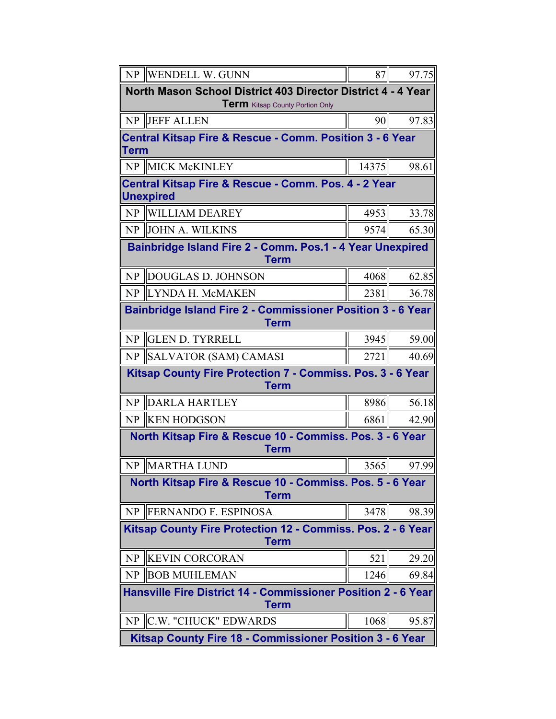| NP                                                                                | <b>WENDELL W. GUNN</b>                                                                          | 87    | 97.75 |  |  |
|-----------------------------------------------------------------------------------|-------------------------------------------------------------------------------------------------|-------|-------|--|--|
|                                                                                   | North Mason School District 403 Director District 4 - 4 Year<br>Term Kitsap County Portion Only |       |       |  |  |
|                                                                                   | NP JEFF ALLEN                                                                                   | 90    | 97.83 |  |  |
| Term                                                                              | <b>Central Kitsap Fire &amp; Rescue - Comm. Position 3 - 6 Year</b>                             |       |       |  |  |
| NP                                                                                | <b>MICK McKINLEY</b>                                                                            | 14375 | 98.61 |  |  |
|                                                                                   | Central Kitsap Fire & Rescue - Comm. Pos. 4 - 2 Year<br><b>Unexpired</b>                        |       |       |  |  |
|                                                                                   | NP WILLIAM DEAREY                                                                               | 4953  | 33.78 |  |  |
|                                                                                   | NP JOHN A. WILKINS                                                                              | 9574  | 65.30 |  |  |
|                                                                                   | Bainbridge Island Fire 2 - Comm. Pos.1 - 4 Year Unexpired<br><b>Term</b>                        |       |       |  |  |
| NP                                                                                | DOUGLAS D. JOHNSON                                                                              | 4068  | 62.85 |  |  |
| NP                                                                                | <b>ILYNDA H. McMAKEN</b>                                                                        | 2381  | 36.78 |  |  |
| <b>Bainbridge Island Fire 2 - Commissioner Position 3 - 6 Year</b><br><b>Term</b> |                                                                                                 |       |       |  |  |
| NP                                                                                | <b>GLEN D. TYRRELL</b>                                                                          | 3945  | 59.00 |  |  |
| NP                                                                                | SALVATOR (SAM) CAMASI                                                                           | 2721  | 40.69 |  |  |
| Kitsap County Fire Protection 7 - Commiss. Pos. 3 - 6 Year<br><b>Term</b>         |                                                                                                 |       |       |  |  |
| NP                                                                                | <b>DARLA HARTLEY</b>                                                                            | 8986  | 56.18 |  |  |
|                                                                                   | NP KEN HODGSON                                                                                  | 68611 | 42.90 |  |  |
|                                                                                   | North Kitsap Fire & Rescue 10 - Commiss. Pos. 3 - 6 Year<br><b>Term</b>                         |       |       |  |  |
|                                                                                   | NP MARTHA LUND                                                                                  | 3565  | 97.99 |  |  |
|                                                                                   | North Kitsap Fire & Rescue 10 - Commiss. Pos. 5 - 6 Year<br>Term                                |       |       |  |  |
|                                                                                   | NP   FERNANDO F. ESPINOSA                                                                       | 3478  | 98.39 |  |  |
| Kitsap County Fire Protection 12 - Commiss. Pos. 2 - 6 Year<br><b>Term</b>        |                                                                                                 |       |       |  |  |
| <b>NP</b>                                                                         | <b>KEVIN CORCORAN</b>                                                                           | 521   | 29.20 |  |  |
| NP                                                                                | <b>BOB MUHLEMAN</b>                                                                             | 1246  | 69.84 |  |  |
|                                                                                   | <b>Hansville Fire District 14 - Commissioner Position 2 - 6 Year</b><br>Term                    |       |       |  |  |
| NP                                                                                | C.W. "CHUCK" EDWARDS                                                                            | 1068  | 95.87 |  |  |
|                                                                                   | Kitsap County Fire 18 - Commissioner Position 3 - 6 Year                                        |       |       |  |  |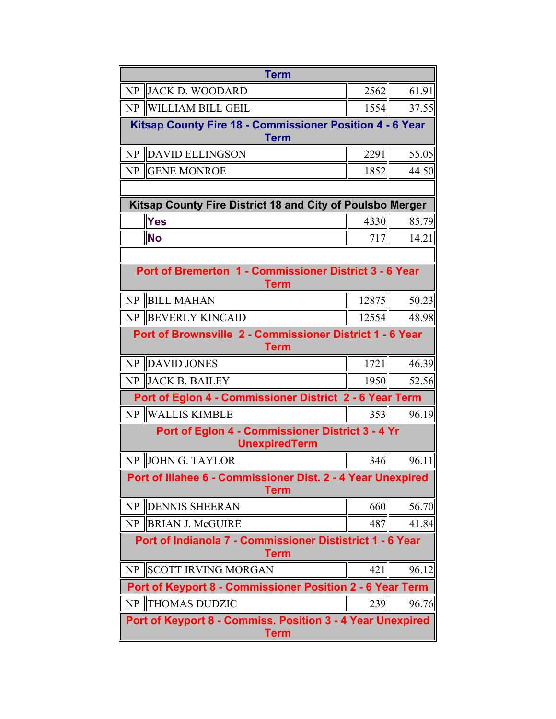|                                                                           | <b>Term</b>                                                                |       |       |  |
|---------------------------------------------------------------------------|----------------------------------------------------------------------------|-------|-------|--|
| NP                                                                        | <b>JACK D. WOODARD</b>                                                     | 2562  | 61.91 |  |
| <b>NP</b>                                                                 | WILLIAM BILL GEIL                                                          | 1554  | 37.55 |  |
|                                                                           | Kitsap County Fire 18 - Commissioner Position 4 - 6 Year<br><b>Term</b>    |       |       |  |
| NP                                                                        | <b>DAVID ELLINGSON</b>                                                     | 2291  | 55.05 |  |
| <b>NP</b>                                                                 | <b>GENE MONROE</b>                                                         | 1852  | 44.50 |  |
|                                                                           |                                                                            |       |       |  |
|                                                                           | Kitsap County Fire District 18 and City of Poulsbo Merger                  |       |       |  |
|                                                                           | Yes                                                                        | 4330  | 85.79 |  |
|                                                                           | <b>No</b>                                                                  | 717   | 14.21 |  |
|                                                                           |                                                                            |       |       |  |
|                                                                           | Port of Bremerton 1 - Commissioner District 3 - 6 Year<br>Term             |       |       |  |
| NP                                                                        | <b>BILL MAHAN</b>                                                          | 12875 | 50.23 |  |
| NP                                                                        | <b>IBEVERLY KINCAID</b>                                                    | 12554 | 48.98 |  |
|                                                                           | Port of Brownsville 2 - Commissioner District 1 - 6 Year<br>Term           |       |       |  |
| NP                                                                        | <b>DAVID JONES</b>                                                         | 1721  | 46.39 |  |
| <b>NP</b>                                                                 | <b>JACK B. BAILEY</b>                                                      | 1950  | 52.56 |  |
|                                                                           | Port of Eglon 4 - Commissioner District 2 - 6 Year Term                    |       |       |  |
| NP                                                                        | WALLIS KIMBLE                                                              | 353   | 96.19 |  |
|                                                                           | Port of Eglon 4 - Commissioner District 3 - 4 Yr<br><b>UnexpiredTerm</b>   |       |       |  |
| NP                                                                        | <b>JOHN G. TAYLOR</b>                                                      | 346   | 96.11 |  |
|                                                                           | Port of Illahee 6 - Commissioner Dist. 2 - 4 Year Unexpired<br><b>Term</b> |       |       |  |
| <b>NP</b>                                                                 | <b>DENNIS SHEERAN</b>                                                      | 660   | 56.70 |  |
| NP                                                                        | <b>BRIAN J. McGUIRE</b>                                                    | 487   | 41.84 |  |
| Port of Indianola 7 - Commissioner Dististrict 1 - 6 Year<br><b>Term</b>  |                                                                            |       |       |  |
| N <sub>P</sub>                                                            | <b>SCOTT IRVING MORGAN</b>                                                 | 421   | 96.12 |  |
|                                                                           | Port of Keyport 8 - Commissioner Position 2 - 6 Year Term                  |       |       |  |
| NP                                                                        | <b>THOMAS DUDZIC</b>                                                       | 239   | 96.76 |  |
| Port of Keyport 8 - Commiss. Position 3 - 4 Year Unexpired<br><b>Term</b> |                                                                            |       |       |  |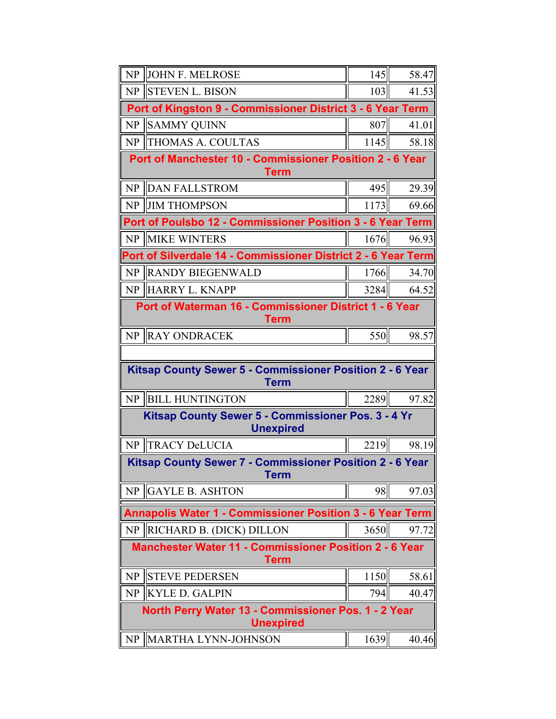| NP                                                                           | <b>JOHN F. MELROSE</b>                                                  | 145  | 58.47 |  |  |
|------------------------------------------------------------------------------|-------------------------------------------------------------------------|------|-------|--|--|
| NP                                                                           | <b>STEVEN L. BISON</b>                                                  | 103  | 41.53 |  |  |
|                                                                              | Port of Kingston 9 - Commissioner District 3 - 6 Year Term              |      |       |  |  |
| <b>NP</b>                                                                    | <b>SAMMY QUINN</b>                                                      | 807  | 41.01 |  |  |
| NP                                                                           | <b>THOMAS A. COULTAS</b>                                                | 1145 | 58.18 |  |  |
|                                                                              | Port of Manchester 10 - Commissioner Position 2 - 6 Year<br><b>Term</b> |      |       |  |  |
| NP                                                                           | <b>DAN FALLSTROM</b>                                                    | 495  | 29.39 |  |  |
| NP                                                                           | <b>JIM THOMPSON</b>                                                     | 1173 | 69.66 |  |  |
|                                                                              | Port of Poulsbo 12 - Commissioner Position 3 - 6 Year Term              |      |       |  |  |
| NP                                                                           | <b>IMIKE WINTERS</b>                                                    | 1676 | 96.93 |  |  |
|                                                                              | Port of Silverdale 14 - Commissioner District 2 - 6 Year Term           |      |       |  |  |
| NP                                                                           | <b>RANDY BIEGENWALD</b>                                                 | 1766 | 34.70 |  |  |
|                                                                              | NP HARRY L. KNAPP                                                       | 3284 | 64.52 |  |  |
| Port of Waterman 16 - Commissioner District 1 - 6 Year<br><b>Term</b>        |                                                                         |      |       |  |  |
| NP                                                                           | <b>RAY ONDRACEK</b>                                                     | 550  | 98.57 |  |  |
|                                                                              |                                                                         |      |       |  |  |
| Kitsap County Sewer 5 - Commissioner Position 2 - 6 Year<br>Term             |                                                                         |      |       |  |  |
| NP                                                                           | <b>BILL HUNTINGTON</b>                                                  | 2289 | 97.82 |  |  |
|                                                                              | Kitsap County Sewer 5 - Commissioner Pos. 3 - 4 Yr<br><b>Unexpired</b>  |      |       |  |  |
| NP                                                                           | <b>TRACY DeLUCIA</b>                                                    | 2219 | 98.19 |  |  |
|                                                                              | Kitsap County Sewer 7 - Commissioner Position 2 - 6 Year<br>Term        |      |       |  |  |
| NP                                                                           | <b>GAYLE B. ASHTON</b>                                                  | 98   | 97.03 |  |  |
|                                                                              | <b>Annapolis Water 1 - Commissioner Position 3 - 6 Year Term</b>        |      |       |  |  |
|                                                                              | NP   RICHARD B. (DICK) DILLON                                           | 3650 | 97.72 |  |  |
| <b>Manchester Water 11 - Commissioner Position 2 - 6 Year</b><br><b>Term</b> |                                                                         |      |       |  |  |
| NP                                                                           | <b>STEVE PEDERSEN</b>                                                   | 1150 | 58.61 |  |  |
| <b>NP</b>                                                                    | <b>KYLE D. GALPIN</b>                                                   | 794  | 40.47 |  |  |
| North Perry Water 13 - Commissioner Pos. 1 - 2 Year<br><b>Unexpired</b>      |                                                                         |      |       |  |  |
|                                                                              |                                                                         |      |       |  |  |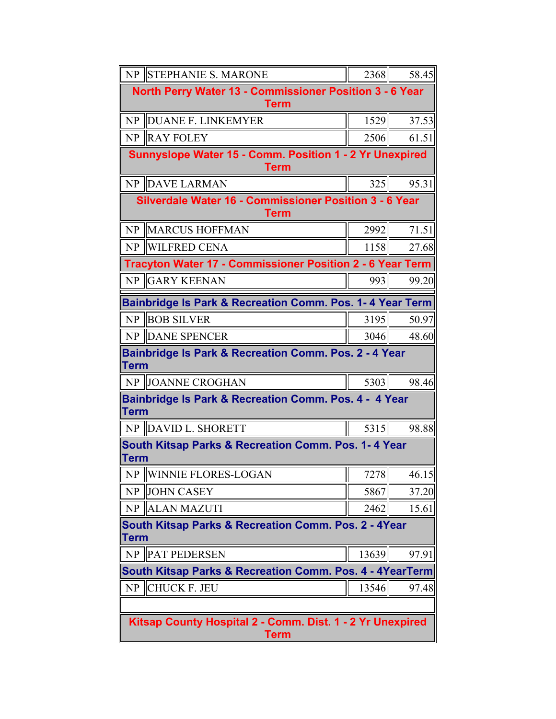|                                                                                 | NP STEPHANIE S. MARONE                                                 | 2368  | 58.45 |  |
|---------------------------------------------------------------------------------|------------------------------------------------------------------------|-------|-------|--|
| North Perry Water 13 - Commissioner Position 3 - 6 Year<br><b>Term</b>          |                                                                        |       |       |  |
| NP                                                                              | <b>DUANE F. LINKEMYER</b>                                              | 1529  | 37.53 |  |
|                                                                                 | NP RAY FOLEY                                                           | 2506  | 61.51 |  |
|                                                                                 | Sunnyslope Water 15 - Comm. Position 1 - 2 Yr Unexpired<br><b>Term</b> |       |       |  |
|                                                                                 | NP DAVE LARMAN                                                         | 325   | 95.31 |  |
|                                                                                 | Silverdale Water 16 - Commissioner Position 3 - 6 Year<br><b>Term</b>  |       |       |  |
| NP                                                                              | <b>MARCUS HOFFMAN</b>                                                  | 2992  | 71.51 |  |
|                                                                                 | NP WILFRED CENA                                                        | 1158  | 27.68 |  |
|                                                                                 | Tracyton Water 17 - Commissioner Position 2 - 6 Year Term              |       |       |  |
|                                                                                 | NP GARY KEENAN                                                         | 993   | 99.20 |  |
|                                                                                 | Bainbridge Is Park & Recreation Comm. Pos. 1-4 Year Term               |       |       |  |
| NP                                                                              | <b>BOB SILVER</b>                                                      | 3195  | 50.97 |  |
|                                                                                 | NP DANE SPENCER                                                        | 3046  | 48.60 |  |
| <b>Bainbridge Is Park &amp; Recreation Comm. Pos. 2 - 4 Year</b><br><b>Term</b> |                                                                        |       |       |  |
|                                                                                 | NP JOANNE CROGHAN                                                      | 5303  | 98.46 |  |
| <b>Term</b>                                                                     | Bainbridge Is Park & Recreation Comm. Pos. 4 - 4 Year                  |       |       |  |
|                                                                                 | NP DAVID L. SHORETT                                                    | 5315  | 98.88 |  |
| <b>Term</b>                                                                     | <b>South Kitsap Parks &amp; Recreation Comm. Pos. 1-4 Year</b>         |       |       |  |
|                                                                                 | NP WINNIE FLORES-LOGAN                                                 | 7278  | 46.15 |  |
| N <sub>P</sub>                                                                  | <b>JOHN CASEY</b>                                                      | 5867  | 37.20 |  |
| NP                                                                              | <b>ALAN MAZUTI</b>                                                     | 2462  | 15.61 |  |
| South Kitsap Parks & Recreation Comm. Pos. 2 - 4Year<br><b>Term</b>             |                                                                        |       |       |  |
| NP                                                                              | <b>PAT PEDERSEN</b>                                                    | 13639 | 97.91 |  |
|                                                                                 | South Kitsap Parks & Recreation Comm. Pos. 4 - 4YearTerm               |       |       |  |
| NP                                                                              | <b>CHUCK F. JEU</b>                                                    | 13546 | 97.48 |  |
|                                                                                 |                                                                        |       |       |  |
| Kitsap County Hospital 2 - Comm. Dist. 1 - 2 Yr Unexpired<br><b>Term</b>        |                                                                        |       |       |  |